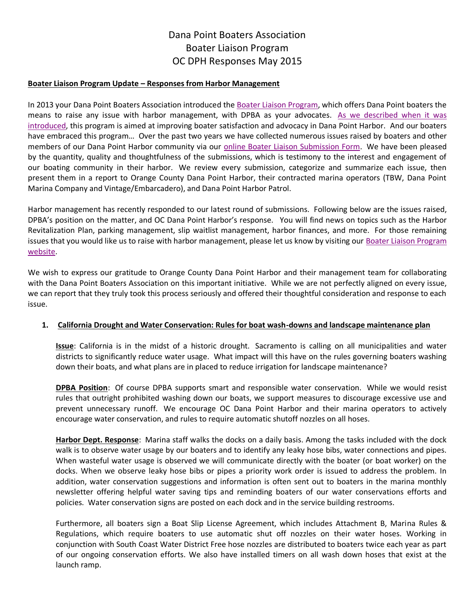### **Boater Liaison Program Update – Responses from Harbor Management**

In 2013 your Dana Point Boaters Association introduced the [Boater Liaison Program,](http://danapointboaters.org/boaterliaison.php) which offers Dana Point boaters the means to raise any issue with harbor management, with DPBA as your advocates. As we described when it was [introduced,](http://archive.constantcontact.com/fs191/1101582442430/archive/1113216101810.html) this program is aimed at improving boater satisfaction and advocacy in Dana Point Harbor. And our boaters have embraced this program… Over the past two years we have collected numerous issues raised by boaters and other members of our Dana Point Harbor community via our [online Boater Liaison Submission Form.](http://form.jotformpro.com/form/51391929815969) We have been pleased by the quantity, quality and thoughtfulness of the submissions, which is testimony to the interest and engagement of our boating community in their harbor. We review every submission, categorize and summarize each issue, then present them in a report to Orange County Dana Point Harbor, their contracted marina operators (TBW, Dana Point Marina Company and Vintage/Embarcadero), and Dana Point Harbor Patrol.

Harbor management has recently responded to our latest round of submissions. Following below are the issues raised, DPBA's position on the matter, and OC Dana Point Harbor's response. You will find news on topics such as the Harbor Revitalization Plan, parking management, slip waitlist management, harbor finances, and more. For those remaining issues that you would like us to raise with harbor management, please let us know by visiting our [Boater Liaison Program](http://danapointboaters.org/boaterliaison.php)  [website.](http://danapointboaters.org/boaterliaison.php)

We wish to express our gratitude to Orange County Dana Point Harbor and their management team for collaborating with the Dana Point Boaters Association on this important initiative. While we are not perfectly aligned on every issue, we can report that they truly took this process seriously and offered their thoughtful consideration and response to each issue.

## **1. California Drought and Water Conservation: Rules for boat wash-downs and landscape maintenance plan**

**Issue**: California is in the midst of a historic drought. Sacramento is calling on all municipalities and water districts to significantly reduce water usage. What impact will this have on the rules governing boaters washing down their boats, and what plans are in placed to reduce irrigation for landscape maintenance?

**DPBA Position**: Of course DPBA supports smart and responsible water conservation. While we would resist rules that outright prohibited washing down our boats, we support measures to discourage excessive use and prevent unnecessary runoff. We encourage OC Dana Point Harbor and their marina operators to actively encourage water conservation, and rules to require automatic shutoff nozzles on all hoses.

**Harbor Dept. Response**: Marina staff walks the docks on a daily basis. Among the tasks included with the dock walk is to observe water usage by our boaters and to identify any leaky hose bibs, water connections and pipes. When wasteful water usage is observed we will communicate directly with the boater (or boat worker) on the docks. When we observe leaky hose bibs or pipes a priority work order is issued to address the problem. In addition, water conservation suggestions and information is often sent out to boaters in the marina monthly newsletter offering helpful water saving tips and reminding boaters of our water conservations efforts and policies. Water conservation signs are posted on each dock and in the service building restrooms.

Furthermore, all boaters sign a Boat Slip License Agreement, which includes Attachment B, Marina Rules & Regulations, which require boaters to use automatic shut off nozzles on their water hoses. Working in conjunction with South Coast Water District Free hose nozzles are distributed to boaters twice each year as part of our ongoing conservation efforts. We also have installed timers on all wash down hoses that exist at the launch ramp.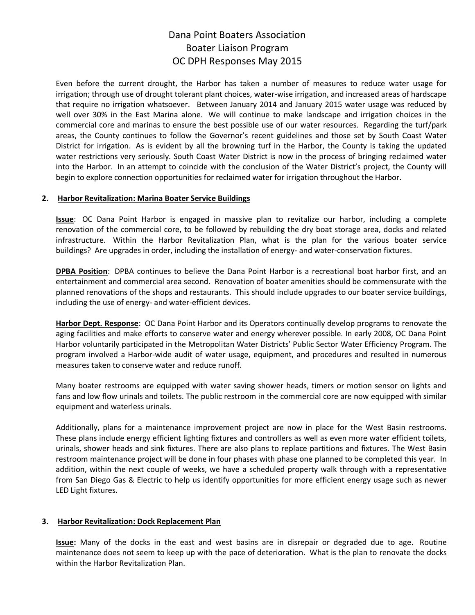Even before the current drought, the Harbor has taken a number of measures to reduce water usage for irrigation; through use of drought tolerant plant choices, water-wise irrigation, and increased areas of hardscape that require no irrigation whatsoever. Between January 2014 and January 2015 water usage was reduced by well over 30% in the East Marina alone. We will continue to make landscape and irrigation choices in the commercial core and marinas to ensure the best possible use of our water resources. Regarding the turf/park areas, the County continues to follow the Governor's recent guidelines and those set by South Coast Water District for irrigation. As is evident by all the browning turf in the Harbor, the County is taking the updated water restrictions very seriously. South Coast Water District is now in the process of bringing reclaimed water into the Harbor. In an attempt to coincide with the conclusion of the Water District's project, the County will begin to explore connection opportunities for reclaimed water for irrigation throughout the Harbor.

### **2. Harbor Revitalization: Marina Boater Service Buildings**

**Issue**: OC Dana Point Harbor is engaged in massive plan to revitalize our harbor, including a complete renovation of the commercial core, to be followed by rebuilding the dry boat storage area, docks and related infrastructure. Within the Harbor Revitalization Plan, what is the plan for the various boater service buildings? Are upgrades in order, including the installation of energy- and water-conservation fixtures.

**DPBA Position**: DPBA continues to believe the Dana Point Harbor is a recreational boat harbor first, and an entertainment and commercial area second. Renovation of boater amenities should be commensurate with the planned renovations of the shops and restaurants. This should include upgrades to our boater service buildings, including the use of energy- and water-efficient devices.

**Harbor Dept. Response**: OC Dana Point Harbor and its Operators continually develop programs to renovate the aging facilities and make efforts to conserve water and energy wherever possible. In early 2008, OC Dana Point Harbor voluntarily participated in the Metropolitan Water Districts' Public Sector Water Efficiency Program. The program involved a Harbor-wide audit of water usage, equipment, and procedures and resulted in numerous measures taken to conserve water and reduce runoff.

Many boater restrooms are equipped with water saving shower heads, timers or motion sensor on lights and fans and low flow urinals and toilets. The public restroom in the commercial core are now equipped with similar equipment and waterless urinals.

Additionally, plans for a maintenance improvement project are now in place for the West Basin restrooms. These plans include energy efficient lighting fixtures and controllers as well as even more water efficient toilets, urinals, shower heads and sink fixtures. There are also plans to replace partitions and fixtures. The West Basin restroom maintenance project will be done in four phases with phase one planned to be completed this year. In addition, within the next couple of weeks, we have a scheduled property walk through with a representative from San Diego Gas & Electric to help us identify opportunities for more efficient energy usage such as newer LED Light fixtures.

## **3. Harbor Revitalization: Dock Replacement Plan**

**Issue:** Many of the docks in the east and west basins are in disrepair or degraded due to age. Routine maintenance does not seem to keep up with the pace of deterioration. What is the plan to renovate the docks within the Harbor Revitalization Plan.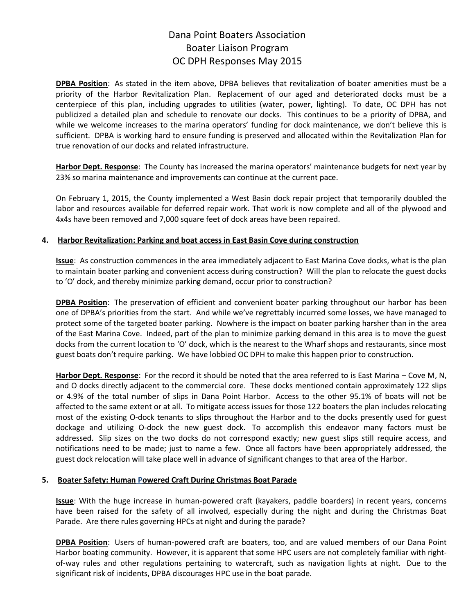**DPBA Position**: As stated in the item above, DPBA believes that revitalization of boater amenities must be a priority of the Harbor Revitalization Plan. Replacement of our aged and deteriorated docks must be a centerpiece of this plan, including upgrades to utilities (water, power, lighting). To date, OC DPH has not publicized a detailed plan and schedule to renovate our docks. This continues to be a priority of DPBA, and while we welcome increases to the marina operators' funding for dock maintenance, we don't believe this is sufficient. DPBA is working hard to ensure funding is preserved and allocated within the Revitalization Plan for true renovation of our docks and related infrastructure.

**Harbor Dept. Response**: The County has increased the marina operators' maintenance budgets for next year by 23% so marina maintenance and improvements can continue at the current pace.

On February 1, 2015, the County implemented a West Basin dock repair project that temporarily doubled the labor and resources available for deferred repair work. That work is now complete and all of the plywood and 4x4s have been removed and 7,000 square feet of dock areas have been repaired.

## **4. Harbor Revitalization: Parking and boat access in East Basin Cove during construction**

**Issue**: As construction commences in the area immediately adjacent to East Marina Cove docks, what is the plan to maintain boater parking and convenient access during construction? Will the plan to relocate the guest docks to 'O' dock, and thereby minimize parking demand, occur prior to construction?

**DPBA Position**: The preservation of efficient and convenient boater parking throughout our harbor has been one of DPBA's priorities from the start. And while we've regrettably incurred some losses, we have managed to protect some of the targeted boater parking. Nowhere is the impact on boater parking harsher than in the area of the East Marina Cove. Indeed, part of the plan to minimize parking demand in this area is to move the guest docks from the current location to 'O' dock, which is the nearest to the Wharf shops and restaurants, since most guest boats don't require parking. We have lobbied OC DPH to make this happen prior to construction.

**Harbor Dept. Response**: For the record it should be noted that the area referred to is East Marina – Cove M, N, and O docks directly adjacent to the commercial core. These docks mentioned contain approximately 122 slips or 4.9% of the total number of slips in Dana Point Harbor. Access to the other 95.1% of boats will not be affected to the same extent or at all. To mitigate access issues for those 122 boaters the plan includes relocating most of the existing O-dock tenants to slips throughout the Harbor and to the docks presently used for guest dockage and utilizing O-dock the new guest dock. To accomplish this endeavor many factors must be addressed. Slip sizes on the two docks do not correspond exactly; new guest slips still require access, and notifications need to be made; just to name a few. Once all factors have been appropriately addressed, the guest dock relocation will take place well in advance of significant changes to that area of the Harbor.

#### **5. Boater Safety: Human Powered Craft During Christmas Boat Parade**

**Issue**: With the huge increase in human-powered craft (kayakers, paddle boarders) in recent years, concerns have been raised for the safety of all involved, especially during the night and during the Christmas Boat Parade. Are there rules governing HPCs at night and during the parade?

**DPBA Position**: Users of human-powered craft are boaters, too, and are valued members of our Dana Point Harbor boating community. However, it is apparent that some HPC users are not completely familiar with rightof-way rules and other regulations pertaining to watercraft, such as navigation lights at night. Due to the significant risk of incidents, DPBA discourages HPC use in the boat parade.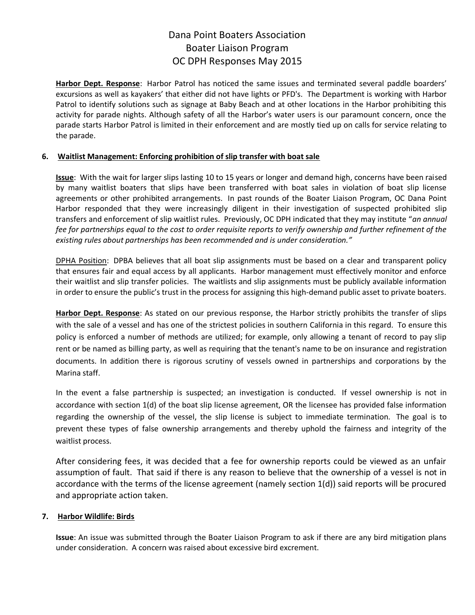**Harbor Dept. Response**: Harbor Patrol has noticed the same issues and terminated several paddle boarders' excursions as well as kayakers' that either did not have lights or PFD's. The Department is working with Harbor Patrol to identify solutions such as signage at Baby Beach and at other locations in the Harbor prohibiting this activity for parade nights. Although safety of all the Harbor's water users is our paramount concern, once the parade starts Harbor Patrol is limited in their enforcement and are mostly tied up on calls for service relating to the parade.

## **6. Waitlist Management: Enforcing prohibition of slip transfer with boat sale**

**Issue**: With the wait for larger slips lasting 10 to 15 years or longer and demand high, concerns have been raised by many waitlist boaters that slips have been transferred with boat sales in violation of boat slip license agreements or other prohibited arrangements. In past rounds of the Boater Liaison Program, OC Dana Point Harbor responded that they were increasingly diligent in their investigation of suspected prohibited slip transfers and enforcement of slip waitlist rules. Previously, OC DPH indicated that they may institute "*an annual fee for partnerships equal to the cost to order requisite reports to verify ownership and further refinement of the existing rules about partnerships has been recommended and is under consideration."*

DPHA Position: DPBA believes that all boat slip assignments must be based on a clear and transparent policy that ensures fair and equal access by all applicants. Harbor management must effectively monitor and enforce their waitlist and slip transfer policies. The waitlists and slip assignments must be publicly available information in order to ensure the public's trust in the process for assigning this high-demand public asset to private boaters.

**Harbor Dept. Response**: As stated on our previous response, the Harbor strictly prohibits the transfer of slips with the sale of a vessel and has one of the strictest policies in southern California in this regard. To ensure this policy is enforced a number of methods are utilized; for example, only allowing a tenant of record to pay slip rent or be named as billing party, as well as requiring that the tenant's name to be on insurance and registration documents. In addition there is rigorous scrutiny of vessels owned in partnerships and corporations by the Marina staff.

In the event a false partnership is suspected; an investigation is conducted. If vessel ownership is not in accordance with section 1(d) of the boat slip license agreement, OR the licensee has provided false information regarding the ownership of the vessel, the slip license is subject to immediate termination. The goal is to prevent these types of false ownership arrangements and thereby uphold the fairness and integrity of the waitlist process.

After considering fees, it was decided that a fee for ownership reports could be viewed as an unfair assumption of fault. That said if there is any reason to believe that the ownership of a vessel is not in accordance with the terms of the license agreement (namely section 1(d)) said reports will be procured and appropriate action taken.

## **7. Harbor Wildlife: Birds**

**Issue**: An issue was submitted through the Boater Liaison Program to ask if there are any bird mitigation plans under consideration. A concern was raised about excessive bird excrement.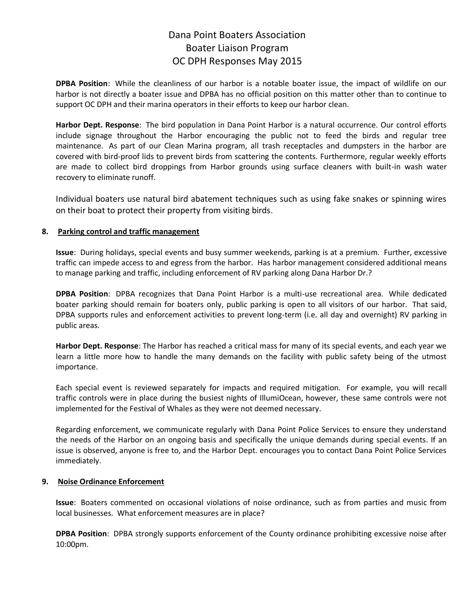**DPBA Position**: While the cleanliness of our harbor is a notable boater issue, the impact of wildlife on our harbor is not directly a boater issue and DPBA has no official position on this matter other than to continue to support OC DPH and their marina operators in their efforts to keep our harbor clean.

**Harbor Dept. Response**: The bird population in Dana Point Harbor is a natural occurrence. Our control efforts include signage throughout the Harbor encouraging the public not to feed the birds and regular tree maintenance. As part of our Clean Marina program, all trash receptacles and dumpsters in the harbor are covered with bird-proof lids to prevent birds from scattering the contents. Furthermore, regular weekly efforts are made to collect bird droppings from Harbor grounds using surface cleaners with built-in wash water recovery to eliminate runoff.

Individual boaters use natural bird abatement techniques such as using fake snakes or spinning wires on their boat to protect their property from visiting birds.

### **8. Parking control and traffic management**

**Issue**: During holidays, special events and busy summer weekends, parking is at a premium. Further, excessive traffic can impede access to and egress from the harbor. Has harbor management considered additional means to manage parking and traffic, including enforcement of RV parking along Dana Harbor Dr.?

**DPBA Position**: DPBA recognizes that Dana Point Harbor is a multi-use recreational area. While dedicated boater parking should remain for boaters only, public parking is open to all visitors of our harbor. That said, DPBA supports rules and enforcement activities to prevent long-term (i.e. all day and overnight) RV parking in public areas.

**Harbor Dept. Response**: The Harbor has reached a critical mass for many of its special events, and each year we learn a little more how to handle the many demands on the facility with public safety being of the utmost importance.

Each special event is reviewed separately for impacts and required mitigation. For example, you will recall traffic controls were in place during the busiest nights of IllumiOcean, however, these same controls were not implemented for the Festival of Whales as they were not deemed necessary.

Regarding enforcement, we communicate regularly with Dana Point Police Services to ensure they understand the needs of the Harbor on an ongoing basis and specifically the unique demands during special events. If an issue is observed, anyone is free to, and the Harbor Dept. encourages you to contact Dana Point Police Services immediately.

## **9. Noise Ordinance Enforcement**

**Issue**: Boaters commented on occasional violations of noise ordinance, such as from parties and music from local businesses. What enforcement measures are in place?

**DPBA Position**: DPBA strongly supports enforcement of the County ordinance prohibiting excessive noise after 10:00pm.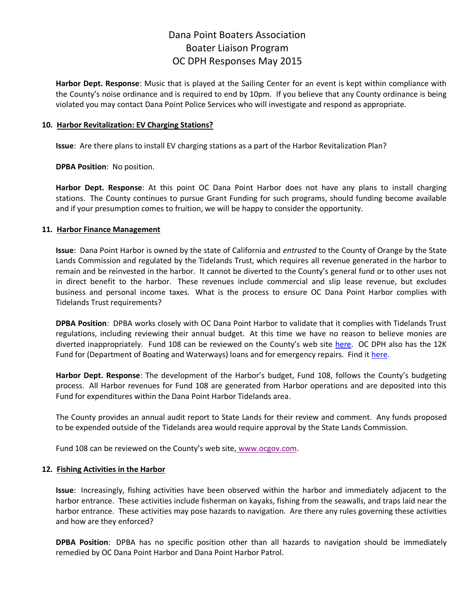**Harbor Dept. Response**: Music that is played at the Sailing Center for an event is kept within compliance with the County's noise ordinance and is required to end by 10pm. If you believe that any County ordinance is being violated you may contact Dana Point Police Services who will investigate and respond as appropriate.

### **10. Harbor Revitalization: EV Charging Stations?**

**Issue**: Are there plans to install EV charging stations as a part of the Harbor Revitalization Plan?

**DPBA Position**: No position.

**Harbor Dept. Response**: At this point OC Dana Point Harbor does not have any plans to install charging stations. The County continues to pursue Grant Funding for such programs, should funding become available and if your presumption comes to fruition, we will be happy to consider the opportunity.

### **11. Harbor Finance Management**

**Issue**: Dana Point Harbor is owned by the state of California and *entrusted* to the County of Orange by the State Lands Commission and regulated by the Tidelands Trust, which requires all revenue generated in the harbor to remain and be reinvested in the harbor. It cannot be diverted to the County's general fund or to other uses not in direct benefit to the harbor. These revenues include commercial and slip lease revenue, but excludes business and personal income taxes. What is the process to ensure OC Dana Point Harbor complies with Tidelands Trust requirements?

**DPBA Position**: DPBA works closely with OC Dana Point Harbor to validate that it complies with Tidelands Trust regulations, including reviewing their annual budget. At this time we have no reason to believe monies are diverted inappropriately. Fund 108 can be reviewed on the County's web site [here.](http://www.danapointboaters.org/documents/county/108.pdf)OC DPH also has the 12K Fund for (Department of Boating and Waterways) loans and for emergency repairs. Find it [here.](http://www.danapointboaters.org/documents/county/12K.pdf)

**Harbor Dept. Response**: The development of the Harbor's budget, Fund 108, follows the County's budgeting process. All Harbor revenues for Fund 108 are generated from Harbor operations and are deposited into this Fund for expenditures within the Dana Point Harbor Tidelands area.

The County provides an annual audit report to State Lands for their review and comment. Any funds proposed to be expended outside of the Tidelands area would require approval by the State Lands Commission.

Fund 108 can be reviewed on the County's web site, [www.ocgov.com.](http://ocgov.com/)

#### **12. Fishing Activities in the Harbor**

**Issue**: Increasingly, fishing activities have been observed within the harbor and immediately adjacent to the harbor entrance. These activities include fisherman on kayaks, fishing from the seawalls, and traps laid near the harbor entrance. These activities may pose hazards to navigation. Are there any rules governing these activities and how are they enforced?

**DPBA Position**: DPBA has no specific position other than all hazards to navigation should be immediately remedied by OC Dana Point Harbor and Dana Point Harbor Patrol.